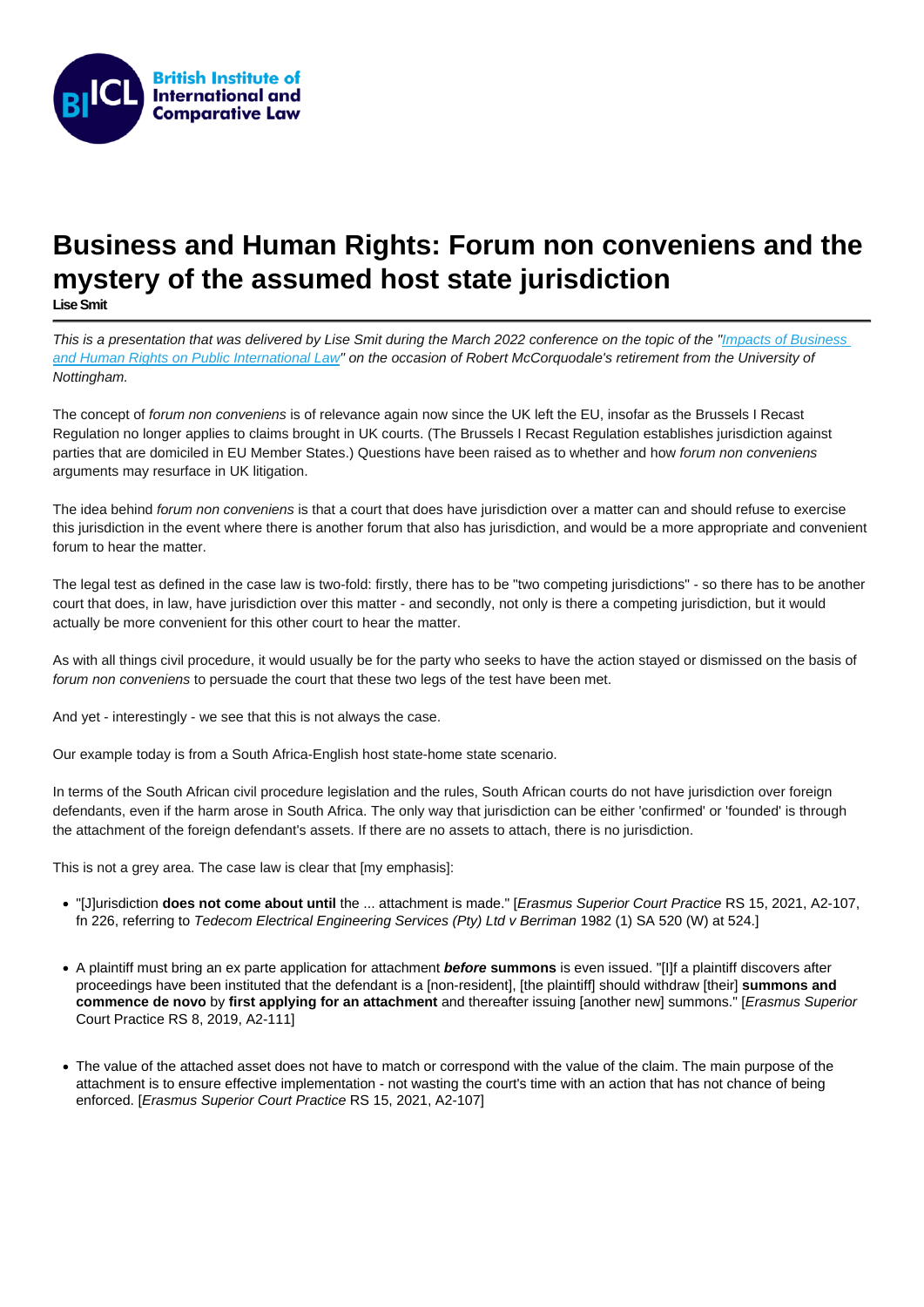## Business and Human Rights: Forum non conveniens and the mystery of the assumed host state jurisdiction

[Lise Smit](https://www.biicl.org/people/lise-smit)

This is a presentation that was delivered by Lise Smit during the March 2022 conference on the topic of the "Impacts of Business" [and Human Rights on Public International Law](https://www.nottingham.ac.uk/hrlc/documents/2022/bhr-and-pil-programme.pdf)" on the occasion of Robert McCorquodale's retirement from the University of Nottingham.

The concept of forum non conveniens is of relevance again now since the UK left the EU, insofar as the Brussels I Recast Regulation no longer applies to claims brought in UK courts. (The Brussels I Recast Regulation establishes jurisdiction against parties that are domiciled in EU Member States.) Questions have been raised as to whether and how forum non conveniens arguments may resurface in UK litigation.

The idea behind forum non conveniens is that a court that does have jurisdiction over a matter can and should refuse to exercise this jurisdiction in the event where there is another forum that also has jurisdiction, and would be a more appropriate and convenient forum to hear the matter.

The legal test as defined in the case law is two-fold: firstly, there has to be "two competing jurisdictions" - so there has to be another court that does, in law, have jurisdiction over this matter - and secondly, not only is there a competing jurisdiction, but it would actually be more convenient for this other court to hear the matter.

As with all things civil procedure, it would usually be for the party who seeks to have the action stayed or dismissed on the basis of forum non conveniens to persuade the court that these two legs of the test have been met.

And yet - interestingly - we see that this is not always the case.

Our example today is from a South Africa-English host state-home state scenario.

In terms of the South African civil procedure legislation and the rules, South African courts do not have jurisdiction over foreign defendants, even if the harm arose in South Africa. The only way that jurisdiction can be either 'confirmed' or 'founded' is through the attachment of the foreign defendant's assets. If there are no assets to attach, there is no jurisdiction.

This is not a grey area. The case law is clear that [my emphasis]:

- "[J]urisdiction does not come about until the ... attachment is made." [Erasmus Superior Court Practice RS 15, 2021, A2-107, fn 226, referring to Tedecom Electrical Engineering Services (Pty) Ltd v Berriman 1982 (1) SA 520 (W) at 524.]
- A plaintiff must bring an ex parte application for attachment before summons is even issued. "[I]f a plaintiff discovers after proceedings have been instituted that the defendant is a [non-resident], [the plaintiff] should withdraw [their] summons and commence de novo by first applying for an attachment and thereafter issuing [another new] summons." [Erasmus Superior Court Practice RS 8, 2019, A2-111]
- The value of the attached asset does not have to match or correspond with the value of the claim. The main purpose of the attachment is to ensure effective implementation - not wasting the court's time with an action that has not chance of being enforced. [Erasmus Superior Court Practice RS 15, 2021, A2-107]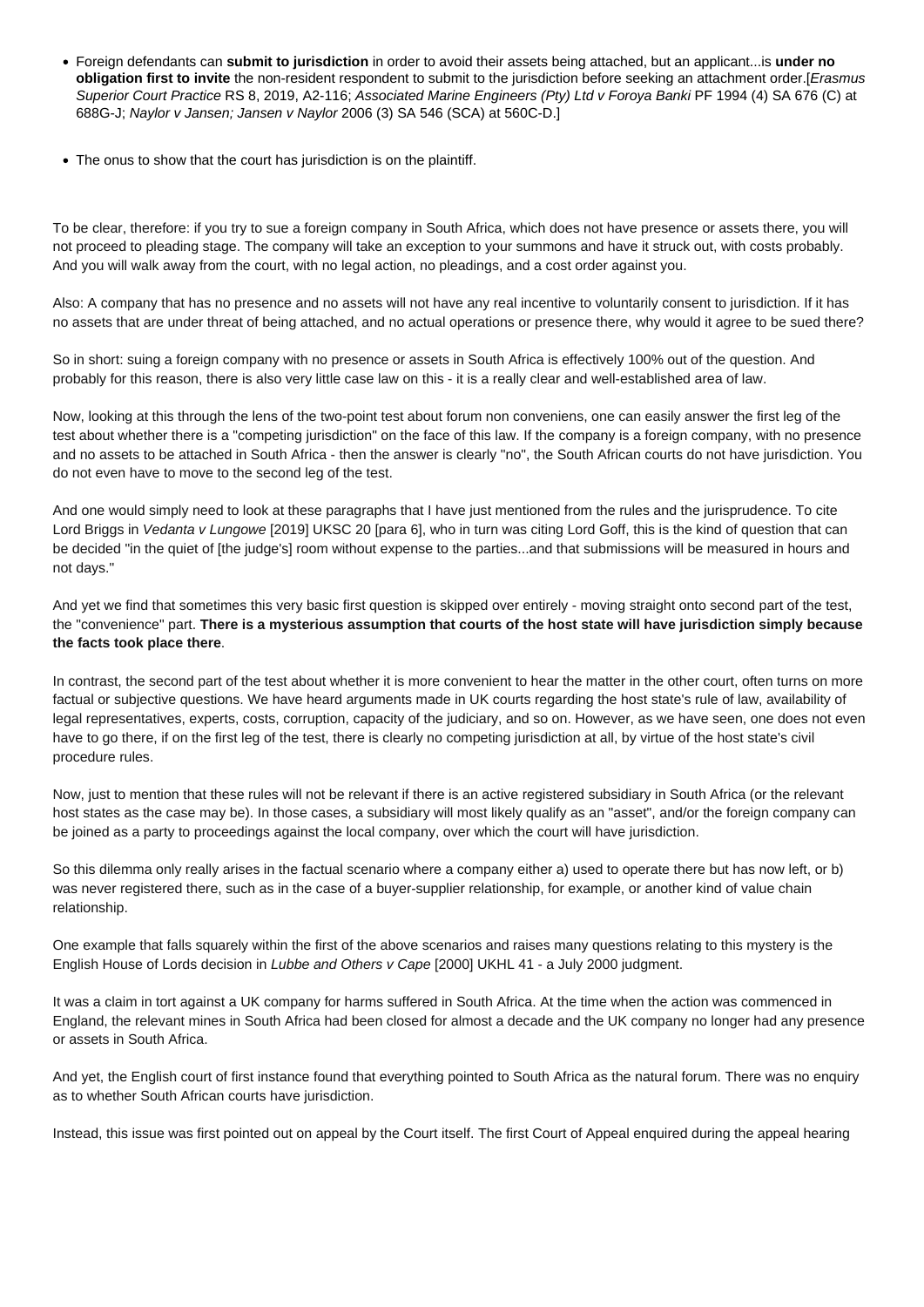- Foreign defendants can **submit to jurisdiction** in order to avoid their assets being attached, but an applicant...is **under no obligation first to invite** the non-resident respondent to submit to the jurisdiction before seeking an attachment order.[Erasmus Superior Court Practice RS 8, 2019, A2-116; Associated Marine Engineers (Pty) Ltd v Foroya Banki PF 1994 (4) SA 676 (C) at 688G-J; Naylor v Jansen; Jansen v Naylor 2006 (3) SA 546 (SCA) at 560C-D.]
- The onus to show that the court has jurisdiction is on the plaintiff.

To be clear, therefore: if you try to sue a foreign company in South Africa, which does not have presence or assets there, you will not proceed to pleading stage. The company will take an exception to your summons and have it struck out, with costs probably. And you will walk away from the court, with no legal action, no pleadings, and a cost order against you.

Also: A company that has no presence and no assets will not have any real incentive to voluntarily consent to jurisdiction. If it has no assets that are under threat of being attached, and no actual operations or presence there, why would it agree to be sued there?

So in short: suing a foreign company with no presence or assets in South Africa is effectively 100% out of the question. And probably for this reason, there is also very little case law on this - it is a really clear and well-established area of law.

Now, looking at this through the lens of the two-point test about forum non conveniens, one can easily answer the first leg of the test about whether there is a "competing jurisdiction" on the face of this law. If the company is a foreign company, with no presence and no assets to be attached in South Africa - then the answer is clearly "no", the South African courts do not have jurisdiction. You do not even have to move to the second leg of the test.

And one would simply need to look at these paragraphs that I have just mentioned from the rules and the jurisprudence. To cite Lord Briggs in Vedanta v Lungowe [2019] UKSC 20 [para 6], who in turn was citing Lord Goff, this is the kind of question that can be decided "in the quiet of [the judge's] room without expense to the parties...and that submissions will be measured in hours and not days."

And yet we find that sometimes this very basic first question is skipped over entirely - moving straight onto second part of the test, the "convenience" part. **There is a mysterious assumption that courts of the host state will have jurisdiction simply because the facts took place there**.

In contrast, the second part of the test about whether it is more convenient to hear the matter in the other court, often turns on more factual or subjective questions. We have heard arguments made in UK courts regarding the host state's rule of law, availability of legal representatives, experts, costs, corruption, capacity of the judiciary, and so on. However, as we have seen, one does not even have to go there, if on the first leg of the test, there is clearly no competing jurisdiction at all, by virtue of the host state's civil procedure rules.

Now, just to mention that these rules will not be relevant if there is an active registered subsidiary in South Africa (or the relevant host states as the case may be). In those cases, a subsidiary will most likely qualify as an "asset", and/or the foreign company can be joined as a party to proceedings against the local company, over which the court will have jurisdiction.

So this dilemma only really arises in the factual scenario where a company either a) used to operate there but has now left, or b) was never registered there, such as in the case of a buyer-supplier relationship, for example, or another kind of value chain relationship.

One example that falls squarely within the first of the above scenarios and raises many questions relating to this mystery is the English House of Lords decision in Lubbe and Others v Cape [2000] UKHL 41 - a July 2000 judgment.

It was a claim in tort against a UK company for harms suffered in South Africa. At the time when the action was commenced in England, the relevant mines in South Africa had been closed for almost a decade and the UK company no longer had any presence or assets in South Africa.

And yet, the English court of first instance found that everything pointed to South Africa as the natural forum. There was no enquiry as to whether South African courts have jurisdiction.

Instead, this issue was first pointed out on appeal by the Court itself. The first Court of Appeal enquired during the appeal hearing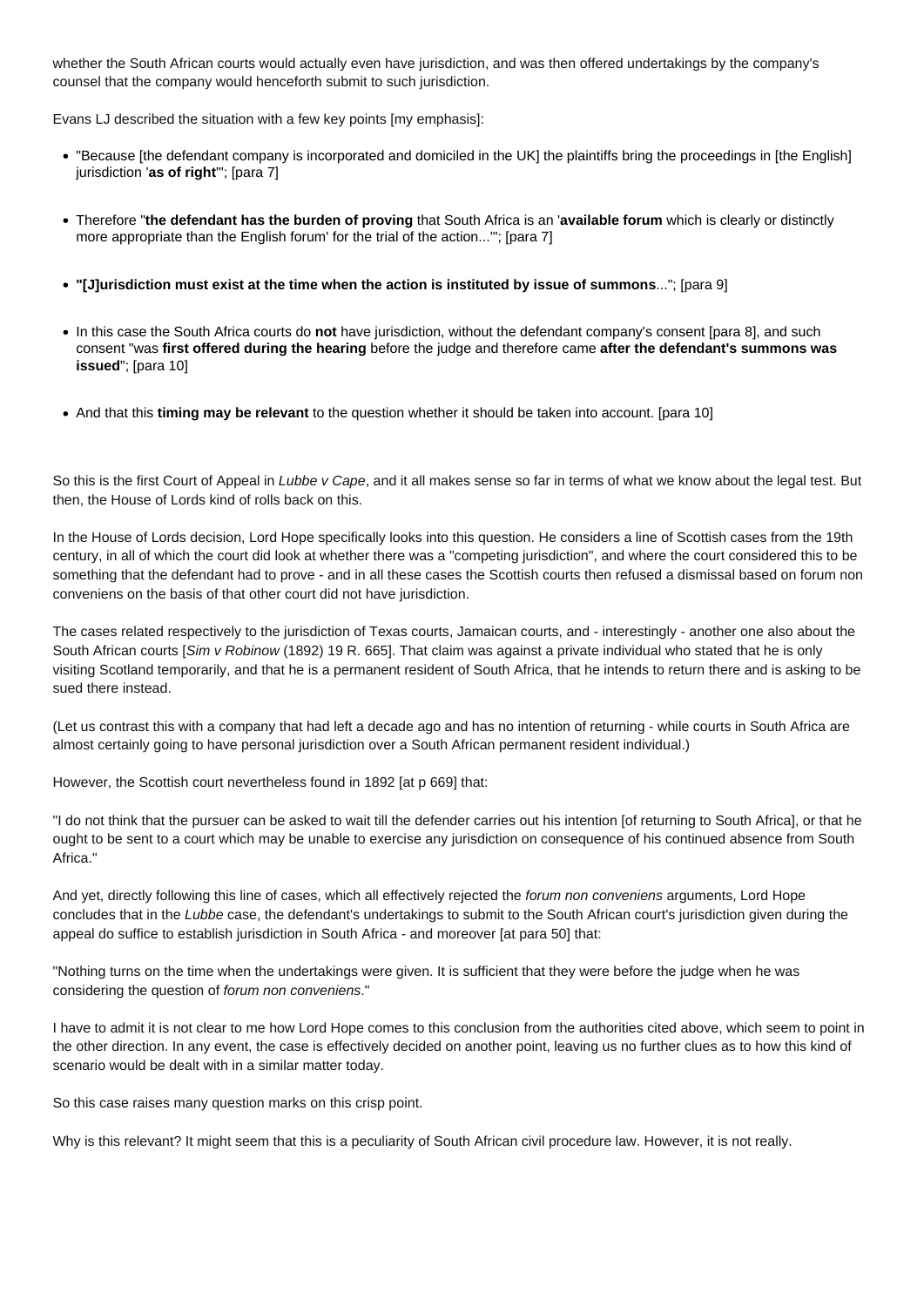whether the South African courts would actually even have jurisdiction, and was then offered undertakings by the company's counsel that the company would henceforth submit to such jurisdiction.

Evans LJ described the situation with a few key points [my emphasis]:

- "Because [the defendant company is incorporated and domiciled in the UK] the plaintiffs bring the proceedings in [the English] jurisdiction '**as of right**'"; [para 7]
- Therefore "**the defendant has the burden of proving** that South Africa is an '**available forum** which is clearly or distinctly more appropriate than the English forum' for the trial of the action...'"; [para 7]
- **"[J]urisdiction must exist at the time when the action is instituted by issue of summons**..."; [para 9]
- In this case the South Africa courts do **not** have jurisdiction, without the defendant company's consent [para 8], and such consent "was **first offered during the hearing** before the judge and therefore came **after the defendant's summons was issued**"; [para 10]
- And that this **timing may be relevant** to the question whether it should be taken into account. [para 10]

So this is the first Court of Appeal in Lubbe v Cape, and it all makes sense so far in terms of what we know about the legal test. But then, the House of Lords kind of rolls back on this.

In the House of Lords decision, Lord Hope specifically looks into this question. He considers a line of Scottish cases from the 19th century, in all of which the court did look at whether there was a "competing jurisdiction", and where the court considered this to be something that the defendant had to prove - and in all these cases the Scottish courts then refused a dismissal based on forum non conveniens on the basis of that other court did not have jurisdiction.

The cases related respectively to the jurisdiction of Texas courts, Jamaican courts, and - interestingly - another one also about the South African courts [Sim v Robinow (1892) 19 R. 665]. That claim was against a private individual who stated that he is only visiting Scotland temporarily, and that he is a permanent resident of South Africa, that he intends to return there and is asking to be sued there instead.

(Let us contrast this with a company that had left a decade ago and has no intention of returning - while courts in South Africa are almost certainly going to have personal jurisdiction over a South African permanent resident individual.)

However, the Scottish court nevertheless found in 1892 [at p 669] that:

"I do not think that the pursuer can be asked to wait till the defender carries out his intention [of returning to South Africa], or that he ought to be sent to a court which may be unable to exercise any jurisdiction on consequence of his continued absence from South Africa."

And yet, directly following this line of cases, which all effectively rejected the forum non conveniens arguments, Lord Hope concludes that in the Lubbe case, the defendant's undertakings to submit to the South African court's jurisdiction given during the appeal do suffice to establish jurisdiction in South Africa - and moreover [at para 50] that:

"Nothing turns on the time when the undertakings were given. It is sufficient that they were before the judge when he was considering the question of forum non conveniens."

I have to admit it is not clear to me how Lord Hope comes to this conclusion from the authorities cited above, which seem to point in the other direction. In any event, the case is effectively decided on another point, leaving us no further clues as to how this kind of scenario would be dealt with in a similar matter today.

So this case raises many question marks on this crisp point.

Why is this relevant? It might seem that this is a peculiarity of South African civil procedure law. However, it is not really.